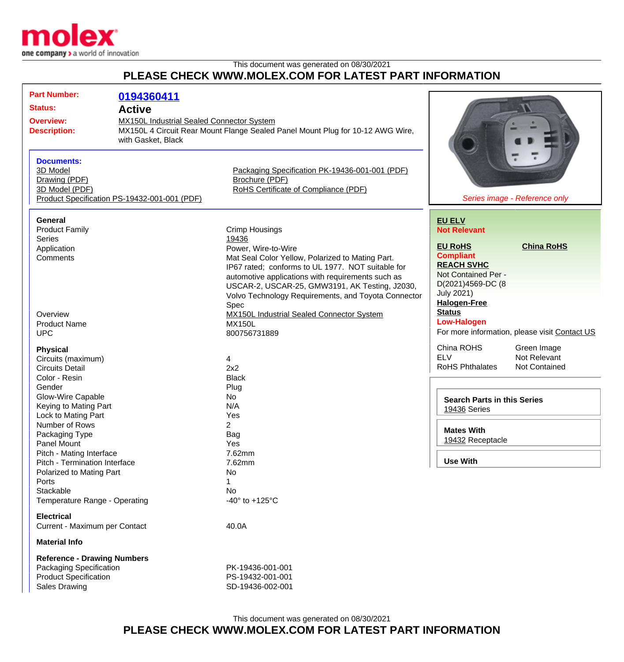

## This document was generated on 08/30/2021 **PLEASE CHECK WWW.MOLEX.COM FOR LATEST PART INFORMATION**

| <b>Part Number:</b><br><b>Status:</b><br><b>Overview:</b><br><b>Description:</b><br><b>Documents:</b><br>3D Model<br>Drawing (PDF)<br>3D Model (PDF)                                                                                                                                                                              | 0194360411<br><b>Active</b><br><b>MX150L Industrial Sealed Connector System</b><br>with Gasket, Black<br>Product Specification PS-19432-001-001 (PDF) | MX150L 4 Circuit Rear Mount Flange Sealed Panel Mount Plug for 10-12 AWG Wire,<br>Packaging Specification PK-19436-001-001 (PDF)<br>Brochure (PDF)<br>RoHS Certificate of Compliance (PDF)                                                                                                                                                                                                                         | Series image - Reference only                                                                                                                                                                                                  |                                                                    |
|-----------------------------------------------------------------------------------------------------------------------------------------------------------------------------------------------------------------------------------------------------------------------------------------------------------------------------------|-------------------------------------------------------------------------------------------------------------------------------------------------------|--------------------------------------------------------------------------------------------------------------------------------------------------------------------------------------------------------------------------------------------------------------------------------------------------------------------------------------------------------------------------------------------------------------------|--------------------------------------------------------------------------------------------------------------------------------------------------------------------------------------------------------------------------------|--------------------------------------------------------------------|
| <b>General</b><br><b>Product Family</b><br><b>Series</b><br>Application<br>Comments<br>Overview<br><b>Product Name</b><br><b>UPC</b>                                                                                                                                                                                              |                                                                                                                                                       | <b>Crimp Housings</b><br>19436<br>Power, Wire-to-Wire<br>Mat Seal Color Yellow, Polarized to Mating Part.<br>IP67 rated; conforms to UL 1977. NOT suitable for<br>automotive applications with requirements such as<br>USCAR-2, USCAR-25, GMW3191, AK Testing, J2030,<br>Volvo Technology Requirements, and Toyota Connector<br>Spec<br>MX150L Industrial Sealed Connector System<br><b>MX150L</b><br>800756731889 | <b>EU ELV</b><br><b>Not Relevant</b><br><b>EU RoHS</b><br><b>Compliant</b><br><b>REACH SVHC</b><br>Not Contained Per -<br>D(2021)4569-DC (8<br><b>July 2021)</b><br><b>Halogen-Free</b><br><b>Status</b><br><b>Low-Halogen</b> | <b>China RoHS</b><br>For more information, please visit Contact US |
| <b>Physical</b><br>Circuits (maximum)<br><b>Circuits Detail</b><br>Color - Resin<br>Gender<br>Glow-Wire Capable<br>Keying to Mating Part<br>Lock to Mating Part<br>Number of Rows<br>Packaging Type<br>Panel Mount<br>Pitch - Mating Interface<br>Pitch - Termination Interface<br>Polarized to Mating Part<br>Ports<br>Stackable |                                                                                                                                                       | 4<br>2x2<br><b>Black</b><br>Plug<br>No<br>N/A<br>Yes<br>2<br>Bag<br>Yes<br>7.62mm<br>7.62mm<br>No<br>$\mathbf 1$<br>No<br>-40 $\degree$ to +125 $\degree$ C                                                                                                                                                                                                                                                        | China ROHS<br><b>ELV</b><br><b>RoHS Phthalates</b><br><b>Search Parts in this Series</b><br>19436 Series<br><b>Mates With</b><br>19432 Receptacle<br><b>Use With</b>                                                           | Green Image<br>Not Relevant<br>Not Contained                       |
| Temperature Range - Operating<br><b>Electrical</b><br>Current - Maximum per Contact<br><b>Material Info</b><br><b>Reference - Drawing Numbers</b><br>Packaging Specification<br><b>Product Specification</b><br><b>Sales Drawing</b>                                                                                              |                                                                                                                                                       | 40.0A<br>PK-19436-001-001<br>PS-19432-001-001<br>SD-19436-002-001                                                                                                                                                                                                                                                                                                                                                  |                                                                                                                                                                                                                                |                                                                    |